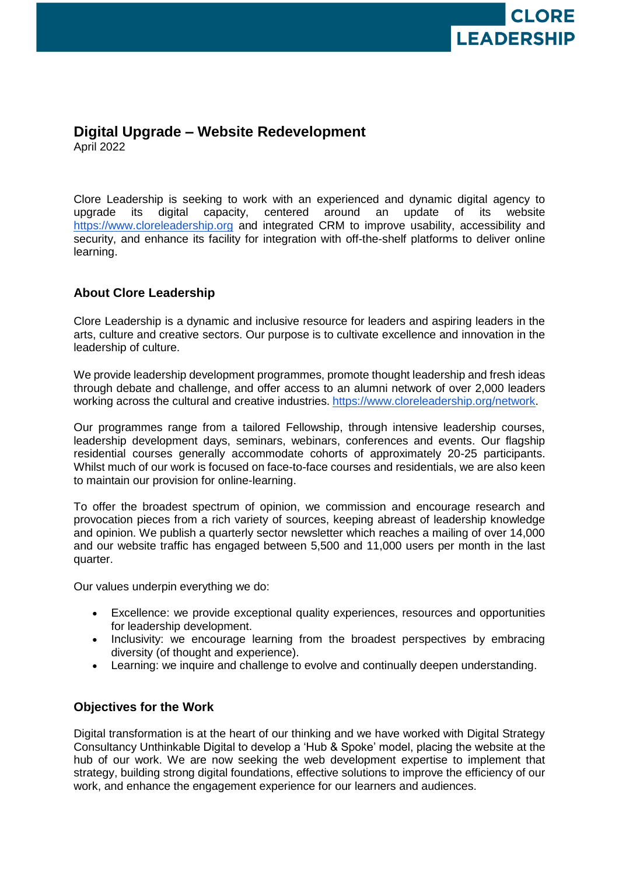

# **Digital Upgrade – Website Redevelopment** April 2022

Clore Leadership is seeking to work with an experienced and dynamic digital agency to upgrade its digital capacity, centered around an update of its website [https://www.cloreleadership.org](https://www.cloreleadership.org/) and integrated CRM to improve usability, accessibility and security, and enhance its facility for integration with off-the-shelf platforms to deliver online learning.

# **About Clore Leadership**

Clore Leadership is a dynamic and inclusive resource for leaders and aspiring leaders in the arts, culture and creative sectors. Our purpose is to cultivate excellence and innovation in the leadership of culture.

We provide leadership development programmes, promote thought leadership and fresh ideas through debate and challenge, and offer access to an alumni network of over 2,000 leaders working across the cultural and creative industries. [https://www.cloreleadership.org/network.](https://www.cloreleadership.org/network)

Our programmes range from a tailored Fellowship, through intensive leadership courses, leadership development days, seminars, webinars, conferences and events. Our flagship residential courses generally accommodate cohorts of approximately 20-25 participants. Whilst much of our work is focused on face-to-face courses and residentials, we are also keen to maintain our provision for online-learning.

To offer the broadest spectrum of opinion, we commission and encourage research and provocation pieces from a rich variety of sources, keeping abreast of leadership knowledge and opinion. We publish a quarterly sector newsletter which reaches a mailing of over 14,000 and our website traffic has engaged between 5,500 and 11,000 users per month in the last quarter.

Our values underpin everything we do:

- Excellence: we provide exceptional quality experiences, resources and opportunities for leadership development.
- Inclusivity: we encourage learning from the broadest perspectives by embracing diversity (of thought and experience).
- Learning: we inquire and challenge to evolve and continually deepen understanding.

# **Objectives for the Work**

Digital transformation is at the heart of our thinking and we have worked with Digital Strategy Consultancy Unthinkable Digital to develop a 'Hub & Spoke' model, placing the website at the hub of our work. We are now seeking the web development expertise to implement that strategy, building strong digital foundations, effective solutions to improve the efficiency of our work, and enhance the engagement experience for our learners and audiences.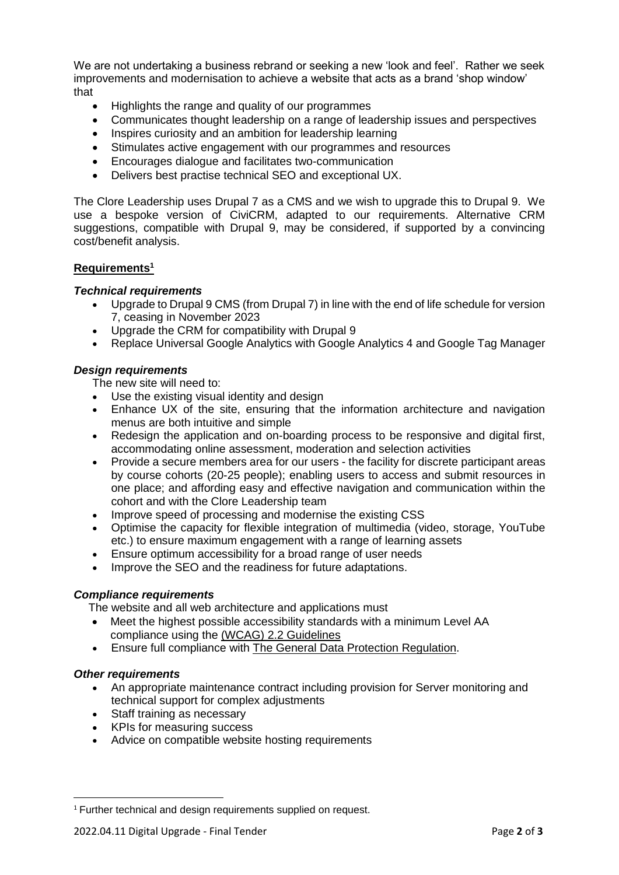We are not undertaking a business rebrand or seeking a new 'look and feel'. Rather we seek improvements and modernisation to achieve a website that acts as a brand 'shop window' that

- Highlights the range and quality of our programmes
- Communicates thought leadership on a range of leadership issues and perspectives
- Inspires curiosity and an ambition for leadership learning
- Stimulates active engagement with our programmes and resources
- Encourages dialogue and facilitates two-communication
- Delivers best practise technical SEO and exceptional UX.

The Clore Leadership uses Drupal 7 as a CMS and we wish to upgrade this to Drupal 9. We use a bespoke version of CiviCRM, adapted to our requirements. Alternative CRM suggestions, compatible with Drupal 9, may be considered, if supported by a convincing cost/benefit analysis.

## **Requirements<sup>1</sup>**

### *Technical requirements*

- Upgrade to Drupal 9 CMS (from Drupal 7) in line with the end of life schedule for version 7, ceasing in November 2023
- Upgrade the CRM for compatibility with Drupal 9
- Replace Universal Google Analytics with Google Analytics 4 and Google Tag Manager

## *Design requirements*

The new site will need to:

- Use the existing visual identity and design
- Enhance UX of the site, ensuring that the information architecture and navigation menus are both intuitive and simple
- Redesign the application and on-boarding process to be responsive and digital first, accommodating online assessment, moderation and selection activities
- Provide a secure members area for our users the facility for discrete participant areas by course cohorts (20-25 people); enabling users to access and submit resources in one place; and affording easy and effective navigation and communication within the cohort and with the Clore Leadership team
- Improve speed of processing and modernise the existing CSS
- Optimise the capacity for flexible integration of multimedia (video, storage, YouTube etc.) to ensure maximum engagement with a range of learning assets
- Ensure optimum accessibility for a broad range of user needs
- Improve the SEO and the readiness for future adaptations.

#### *Compliance requirements*

The website and all web architecture and applications must

- Meet the highest possible accessibility standards with a minimum Level AA compliance using the [\(WCAG\) 2.2 Guidelines](https://www.w3.org/TR/WCAG22/)
- Ensure full compliance with [The General Data Protection Regulation.](https://gdpr.eu/)

#### *Other requirements*

 $\overline{\phantom{a}}$ 

- An appropriate maintenance contract including provision for Server monitoring and technical support for complex adjustments
- Staff training as necessary
- KPIs for measuring success
- Advice on compatible website hosting requirements

<sup>&</sup>lt;sup>1</sup> Further technical and design requirements supplied on request.